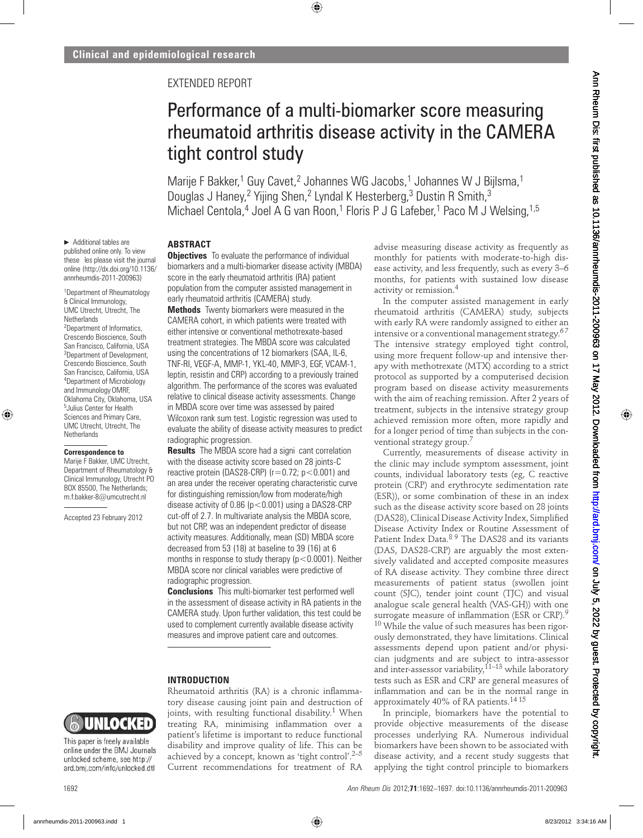## EXTENDED REPORT

# Performance of a multi-biomarker score measuring rheumatoid arthritis disease activity in the CAMERA tight control study

Marije F Bakker,<sup>1</sup> Guy Cavet,<sup>2</sup> Johannes WG Jacobs,<sup>1</sup> Johannes W J Bijlsma,<sup>1</sup> Douglas J Haney,<sup>2</sup> Yijing Shen,<sup>2</sup> Lyndal K Hesterberg,<sup>3</sup> Dustin R Smith,<sup>3</sup> Michael Centola,<sup>4</sup> Joel A G van Roon,<sup>1</sup> Floris P J G Lafeber,<sup>1</sup> Paco M J Welsing,<sup>1,5</sup>

#### **ABSTRACT**

▶ Additional tables are published online only. To view these les please visit the journal online ([http://dx.doi.org/10.1136/](http://dx.doi.org/10.1136/annrheumdis-2011-200963) annrheumdis-2011-200963)

1 Department of Rheumatology & Clinical Immunology, UMC Utrecht, Utrecht, The **Netherlands** <sup>2</sup>Department of Informatics,

Crescendo Bioscience, South San Francisco, California, USA 3 Department of Development, Crescendo Bioscience, South San Francisco, California, USA 4 Department of Microbiology and Immunology OMRF, Oklahoma City, Oklahoma, USA 5 Julius Center for Health Sciences and Primary Care, UMC Utrecht, Utrecht, The **Netherlands** 

#### **Correspondence to**

Marije F Bakker, UMC Utrecht, Department of Rheumatology & Clinical Immunology, Utrecht PO BOX 85500, The Netherlands; m.f.bakker-8@umcutrecht.nl

Accepted 23 February 2012

**Objectives** To evaluate the performance of individual biomarkers and a multi-biomarker disease activity (MBDA) score in the early rheumatoid arthritis (RA) patient population from the computer assisted management in early rheumatoid arthritis (CAMERA) study.

**Methods** Twenty biomarkers were measured in the CAMERA cohort, in which patients were treated with either intensive or conventional methotrexate-based treatment strategies. The MBDA score was calculated using the concentrations of 12 biomarkers (SAA, IL-6, TNF-RI, VEGF-A, MMP-1, YKL-40, MMP-3, EGF, VCAM-1, leptin, resistin and CRP) according to a previously trained algorithm. The performance of the scores was evaluated relative to clinical disease activity assessments. Change in MBDA score over time was assessed by paired Wilcoxon rank sum test. Logistic regression was used to evaluate the ability of disease activity measures to predict radiographic progression.

**Results** The MBDA score had a signi cant correlation with the disease activity score based on 28 joints-C reactive protein (DAS28-CRP) ( $r=0.72$ ;  $p<0.001$ ) and an area under the receiver operating characteristic curve for distinguishing remission/low from moderate/high disease activity of  $0.86$  ( $p < 0.001$ ) using a DAS28-CRP cut-off of 2.7. In multivariate analysis the MBDA score, but not CRP, was an independent predictor of disease activity measures. Additionally, mean (SD) MBDA score decreased from 53 (18) at baseline to 39 (16) at 6 months in response to study therapy  $(p < 0.0001)$ . Neither MBDA score nor clinical variables were predictive of radiographic progression.

**Conclusions** This multi-biomarker test performed well in the assessment of disease activity in RA patients in the CAMERA study. Upon further validation, this test could be used to complement currently available disease activity measures and improve patient care and outcomes.

#### **INTRODUCTION**

Rheumatoid arthritis (RA) is a chronic inflammatory disease causing joint pain and destruction of joints, with resulting functional disability.<sup>1</sup> When treating RA, minimising inflammation over a patient's lifetime is important to reduce functional disability and improve quality of life. This can be achieved by a concept, known as 'tight control'.<sup>2–5</sup> Current recommendations for treatment of RA

advise measuring disease activity as frequently as monthly for patients with moderate-to-high disease activity, and less frequently, such as every 3–6 months, for patients with sustained low disease activity or remission.4

In the computer assisted management in early rheumatoid arthritis (CAMERA) study, subjects with early RA were randomly assigned to either an intensive or a conventional management strategy.<sup>67</sup> The intensive strategy employed tight control, using more frequent follow-up and intensive therapy with methotrexate (MTX) according to a strict protocol as supported by a computerised decision program based on disease activity measurements with the aim of reaching remission. After 2 years of treatment, subjects in the intensive strategy group achieved remission more often, more rapidly and for a longer period of time than subjects in the conventional strategy group.<sup>7</sup>

Currently, measurements of disease activity in the clinic may include symptom assessment, joint counts, individual laboratory tests (eg, C reactive protein (CRP) and erythrocyte sedimentation rate (ESR)), or some combination of these in an index such as the disease activity score based on 28 joints (DAS28), Clinical Disease Activity Index, Simplified Disease Activity Index or Routine Assessment of Patient Index Data.8 9 The DAS28 and its variants (DAS, DAS28-CRP) are arguably the most extensively validated and accepted composite measures of RA disease activity. They combine three direct measurements of patient status (swollen joint count (SJC), tender joint count (TJC) and visual analogue scale general health (VAS-GH)) with one surrogate measure of inflammation (ESR or CRP).<sup>9</sup>  $10$  While the value of such measures has been rigorously demonstrated, they have limitations. Clinical assessments depend upon patient and/or physician judgments and are subject to intra-assessor and inter-assessor variability,  $11-13$  while laboratory tests such as ESR and CRP are general measures of inflammation and can be in the normal range in approximately 40% of RA patients.14 15

In principle, biomarkers have the potential to provide objective measurements of the disease processes underlying RA. Numerous individual biomarkers have been shown to be associated with disease activity, and a recent study suggests that applying the tight control principle to biomarkers



This paper is freely available online under the BMJ Journals unlocked scheme, see http:// ard.bmj.com/info/unlocked.dtl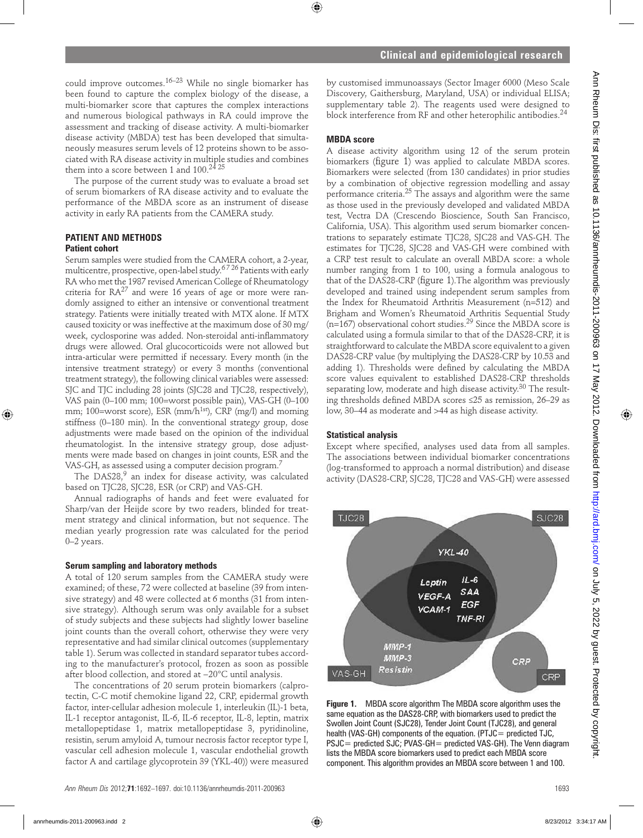could improve outcomes.16–23 While no single biomarker has been found to capture the complex biology of the disease, a multi-biomarker score that captures the complex interactions and numerous biological pathways in RA could improve the assessment and tracking of disease activity. A multi-biomarker disease activity (MBDA) test has been developed that simultaneously measures serum levels of 12 proteins shown to be associated with RA disease activity in multiple studies and combines them into a score between 1 and  $100.<sup>24</sup>25$ 

The purpose of the current study was to evaluate a broad set of serum biomarkers of RA disease activity and to evaluate the performance of the MBDA score as an instrument of disease activity in early RA patients from the CAMERA study.

## **PATIENT AND METHODS**

#### **Patient cohort**

Serum samples were studied from the CAMERA cohort, a 2-year, multicentre, prospective, open-label study.6 7 26 Patients with early RA who met the 1987 revised American College of Rheumatology criteria for  $RA^{27}$  and were 16 years of age or more were randomly assigned to either an intensive or conventional treatment strategy. Patients were initially treated with MTX alone. If MTX caused toxicity or was ineffective at the maximum dose of 30 mg/ week, cyclosporine was added. Non-steroidal anti-inflammatory drugs were allowed. Oral glucocorticoids were not allowed but intra-articular were permitted if necessary. Every month (in the intensive treatment strategy) or every 3 months (conventional treatment strategy), the following clinical variables were assessed: SJC and TJC including 28 joints (SJC28 and TJC28, respectively), VAS pain (0–100 mm; 100=worst possible pain), VAS-GH (0–100 mm; 100=worst score), ESR (mm/h<sup>1st</sup>), CRP (mg/l) and morning stiffness (0–180 min). In the conventional strategy group, dose adjustments were made based on the opinion of the individual rheumatologist. In the intensive strategy group, dose adjustments were made based on changes in joint counts, ESR and the VAS-GH, as assessed using a computer decision program.<sup>7</sup>

The DAS28, $9$  an index for disease activity, was calculated based on TJC28, SJC28, ESR (or CRP) and VAS-GH.

Annual radiographs of hands and feet were evaluated for Sharp/van der Heijde score by two readers, blinded for treatment strategy and clinical information, but not sequence. The median yearly progression rate was calculated for the period 0–2 years.

#### **Serum sampling and laboratory methods**

A total of 120 serum samples from the CAMERA study were examined; of these, 72 were collected at baseline (39 from intensive strategy) and 48 were collected at 6 months (31 from intensive strategy). Although serum was only available for a subset of study subjects and these subjects had slightly lower baseline joint counts than the overall cohort, otherwise they were very representative and had similar clinical outcomes (supplementary table 1). Serum was collected in standard separator tubes according to the manufacturer's protocol, frozen as soon as possible after blood collection, and stored at −20°C until analysis.

The concentrations of 20 serum protein biomarkers (calprotectin, C-C motif chemokine ligand 22, CRP, epidermal growth factor, inter-cellular adhesion molecule 1, interleukin (IL)-1 beta, IL-1 receptor antagonist, IL-6, IL-6 receptor, IL-8, leptin, matrix metallopeptidase 1, matrix metallopeptidase 3, pyridinoline, resistin, serum amyloid A, tumour necrosis factor receptor type I, vascular cell adhesion molecule 1, vascular endothelial growth factor A and cartilage glycoprotein 39 (YKL-40)) were measured by customised immunoassays (Sector Imager 6000 (Meso Scale Discovery, Gaithersburg, Maryland, USA) or individual ELISA; supplementary table 2). The reagents used were designed to block interference from RF and other heterophilic antibodies.<sup>24</sup>

### **MBDA score**

A disease activity algorithm using 12 of the serum protein biomarkers (figure 1) was applied to calculate MBDA scores. Biomarkers were selected (from 130 candidates) in prior studies by a combination of objective regression modelling and assay performance criteria.25 The assays and algorithm were the same as those used in the previously developed and validated MBDA test, Vectra DA (Crescendo Bioscience, South San Francisco, California, USA). This algorithm used serum biomarker concentrations to separately estimate TJC28, SJC28 and VAS-GH. The estimates for TJC28, SJC28 and VAS-GH were combined with a CRP test result to calculate an overall MBDA score: a whole number ranging from 1 to 100, using a formula analogous to that of the DAS28-CRP (figure 1). The algorithm was previously developed and trained using independent serum samples from the Index for Rheumatoid Arthritis Measurement (n=512) and Brigham and Women's Rheumatoid Arthritis Sequential Study  $(n=167)$  observational cohort studies.<sup>29</sup> Since the MBDA score is calculated using a formula similar to that of the DAS28-CRP, it is straightforward to calculate the MBDA score equivalent to a given DAS28-CRP value (by multiplying the DAS28-CRP by 10.53 and adding 1). Thresholds were defined by calculating the MBDA score values equivalent to established DAS28-CRP thresholds separating low, moderate and high disease activity.<sup>30</sup> The resulting thresholds defined MBDA scores ≤25 as remission, 26-29 as low, 30–44 as moderate and >44 as high disease activity.

#### **Statistical analysis**

Except where specified, analyses used data from all samples. The associations between individual biomarker concentrations (log-transformed to approach a normal distribution) and disease activity (DAS28-CRP, SJC28, TJC28 and VAS-GH) were assessed



**Figure 1.** MBDA score algorithm The MBDA score algorithm uses the same equation as the DAS28-CRP, with biomarkers used to predict the Swollen Joint Count (SJC28), Tender Joint Count (TJC28), and general health (VAS-GH) components of the equation. (PTJC= predicted TJC, PSJC = predicted SJC; PVAS-GH = predicted VAS-GH). The Venn diagram lists the MBDA score biomarkers used to predict each MBDA score component. This algorithm provides an MBDA score between 1 and 100.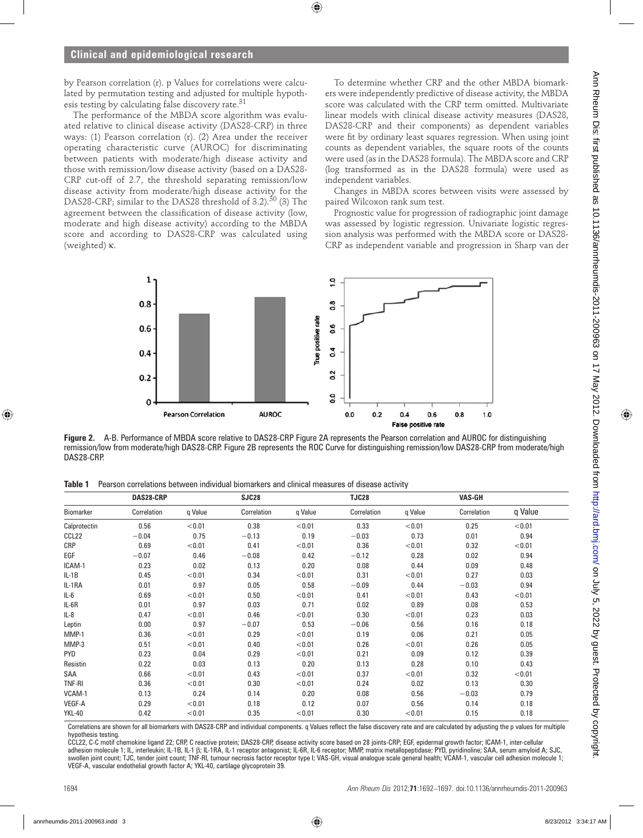by Pearson correlation (r). p Values for correlations were calculated by permutation testing and adjusted for multiple hypothesis testing by calculating false discovery rate.  $31$ 

The performance of the MBDA score algorithm was evaluated relative to clinical disease activity (DAS28-CRP) in three ways: (1) Pearson correlation (r). (2) Area under the receiver operating characteristic curve (AUROC) for discriminating between patients with moderate/high disease activity and those with remission/low disease activity (based on a DAS28- CRP cut-off of 2.7, the threshold separating remission/low disease activity from moderate/high disease activity for the DAS28-CRP; similar to the DAS28 threshold of 3.2).<sup>30</sup> (3) The agreement between the classification of disease activity (low, moderate and high disease activity) according to the MBDA score and according to DAS28-CRP was calculated using (weighted) κ.

To determine whether CRP and the other MBDA biomarkers were independently predictive of disease activity, the MBDA score was calculated with the CRP term omitted. Multivariate linear models with clinical disease activity measures (DAS28, DAS28-CRP and their components) as dependent variables were fit by ordinary least squares regression. When using joint counts as dependent variables, the square roots of the counts were used (as in the DAS28 formula). The MBDA score and CRP (log transformed as in the DAS28 formula) were used as independent variables.

Changes in MBDA scores between visits were assessed by paired Wilcoxon rank sum test.

Prognostic value for progression of radiographic joint damage was assessed by logistic regression. Univariate logistic regression analysis was performed with the MBDA score or DAS28- CRP as independent variable and progression in Sharp van der



**Figure 2.** A-B. Performance of MBDA score relative to DAS28-CRP Figure 2A represents the Pearson correlation and AUROC for distinguishing remission/low from moderate/high DAS28-CRP. Figure 2B represents the ROC Curve for distinguishing remission/low DAS28-CRP from moderate/high DAS28-CRP.

**Table 1** Pearson correlations between individual biomarkers and clinical measures of disease activity

|                   | DAS28-CRP   |         | SJC28       |         | <b>TJC28</b> |         | <b>VAS-GH</b> |         |
|-------------------|-------------|---------|-------------|---------|--------------|---------|---------------|---------|
| Biomarker         | Correlation | q Value | Correlation | q Value | Correlation  | q Value | Correlation   | q Value |
| Calprotectin      | 0.56        | < 0.01  | 0.38        | < 0.01  | 0.33         | < 0.01  | 0.25          | < 0.01  |
| CCL <sub>22</sub> | $-0.04$     | 0.75    | $-0.13$     | 0.19    | $-0.03$      | 0.73    | 0.01          | 0.94    |
| <b>CRP</b>        | 0.69        | < 0.01  | 0.41        | < 0.01  | 0.36         | < 0.01  | 0.32          | < 0.01  |
| EGF               | $-0.07$     | 0.46    | $-0.08$     | 0.42    | $-0.12$      | 0.28    | 0.02          | 0.94    |
| ICAM-1            | 0.23        | 0.02    | 0.13        | 0.20    | 0.08         | 0.44    | 0.09          | 0.48    |
| $IL-1B$           | 0.45        | < 0.01  | 0.34        | < 0.01  | 0.31         | < 0.01  | 0.27          | 0.03    |
| IL-1RA            | 0.01        | 0.97    | 0.05        | 0.58    | $-0.09$      | 0.44    | $-0.03$       | 0.94    |
| IL-6              | 0.69        | < 0.01  | 0.50        | < 0.01  | 0.41         | < 0.01  | 0.43          | < 0.01  |
| IL-6R             | 0.01        | 0.97    | 0.03        | 0.71    | 0.02         | 0.89    | 0.08          | 0.53    |
| $IL-8$            | 0.47        | < 0.01  | 0.46        | < 0.01  | 0.30         | < 0.01  | 0.23          | 0.03    |
| Leptin            | 0.00        | 0.97    | $-0.07$     | 0.53    | $-0.06$      | 0.56    | 0.16          | 0.18    |
| MMP-1             | 0.36        | < 0.01  | 0.29        | < 0.01  | 0.19         | 0.06    | 0.21          | 0.05    |
| MMP-3             | 0.51        | < 0.01  | 0.40        | < 0.01  | 0.26         | < 0.01  | 0.26          | 0.05    |
| <b>PYD</b>        | 0.23        | 0.04    | 0.29        | < 0.01  | 0.21         | 0.09    | 0.12          | 0.39    |
| Resistin          | 0.22        | 0.03    | 0.13        | 0.20    | 0.13         | 0.28    | 0.10          | 0.43    |
| SAA               | 0.66        | < 0.01  | 0.43        | < 0.01  | 0.37         | < 0.01  | 0.32          | < 0.01  |
| <b>TNF-RI</b>     | 0.36        | < 0.01  | 0.30        | < 0.01  | 0.24         | 0.02    | 0.13          | 0.30    |
| VCAM-1            | 0.13        | 0.24    | 0.14        | 0.20    | 0.08         | 0.56    | $-0.03$       | 0.79    |
| <b>VEGF-A</b>     | 0.29        | < 0.01  | 0.18        | 0.12    | 0.07         | 0.56    | 0.14          | 0.18    |
| <b>YKL-40</b>     | 0.42        | < 0.01  | 0.35        | < 0.01  | 0.30         | < 0.01  | 0.15          | 0.18    |

Correlations are shown for all biomarkers with DAS28-CRP and individual components. q Values reflect the false discovery rate and are calculated by adjusting the p values for multiple hypothesis testing.

CCL22, C-C motif chemokine ligand 22; CRP, C reactive protein; DAS28-CRP, disease activity score based on 28 joints-CRP; EGF, epidermal growth factor; ICAM-1, inter-cellular adhesion molecule 1; IL, interleukin; IL-1B, IL-1 β; IL-1RA, IL-1 receptor antagonist; IL-6R, IL-6 receptor; MMP, matrix metallopeptidase; PYD, pyridinoline; SAA, serum amyloid A; SJC, swollen joint count; TJC, tender joint count; TNF-RI, tumour necrosis factor receptor type I; VAS-GH, visual analogue scale general health; VCAM-1, vascular cell adhesion molecule 1; VEGF-A, vascular endothelial growth factor A; YKL-40, cartilage glycoprotein 39.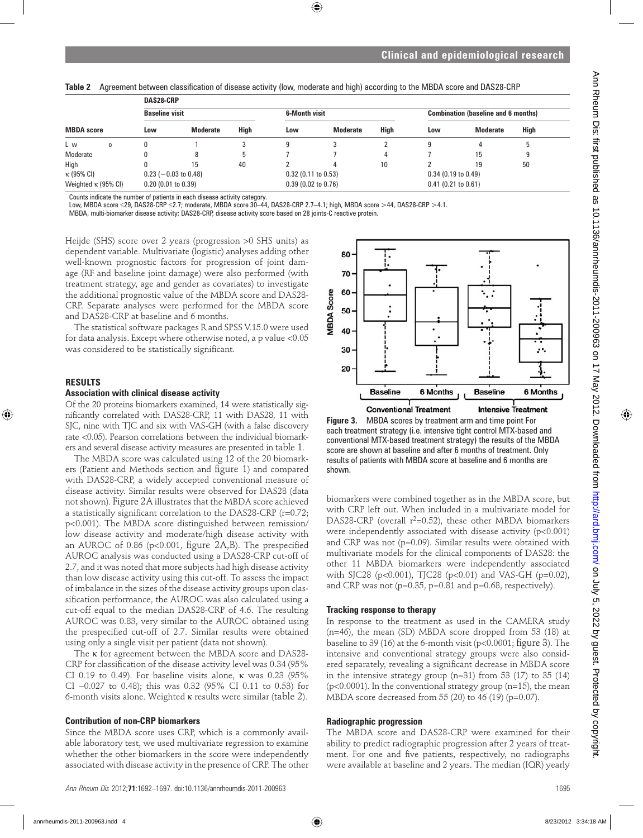Table 2 Agreement between classification of disease activity (low, moderate and high) according to the MBDA score and DAS28-CRP

|                                                     |                        | DAS28-CRP             |                       |             |                                                                    |                       |             |     |                 |      |  |
|-----------------------------------------------------|------------------------|-----------------------|-----------------------|-------------|--------------------------------------------------------------------|-----------------------|-------------|-----|-----------------|------|--|
|                                                     |                        | <b>Baseline visit</b> |                       |             | <b>6-Month visit</b><br><b>Combination (baseline and 6 months)</b> |                       |             |     |                 |      |  |
| <b>MBDA</b> score                                   |                        | Low                   | <b>Moderate</b>       | <b>High</b> | Low                                                                | <b>Moderate</b>       | <b>High</b> | Low | <b>Moderate</b> | High |  |
| L w                                                 | 0                      |                       |                       |             |                                                                    |                       |             |     |                 |      |  |
| Moderate                                            |                        |                       |                       | 5           |                                                                    |                       |             |     | 15              | 9    |  |
| High                                                |                        |                       | 15                    | 40          |                                                                    |                       | 10          |     | 19              | 50   |  |
| $\kappa$ (95% CI)                                   | $0.23$ (-0.03 to 0.48) |                       | $0.32$ (0.11 to 0.53) |             |                                                                    | $0.34$ (0.19 to 0.49) |             |     |                 |      |  |
| Weighted $\kappa$ (95% CI)<br>$0.20$ (0.01 to 0.39) |                        | $0.39$ (0.02 to 0.76) |                       |             | $0.41$ (0.21 to 0.61)                                              |                       |             |     |                 |      |  |

Counts indicate the number of patients in each disease activity category.<br>Low, MBDA score ≤29, DAS28-CRP ≤2.7; moderate, MBDA score 30–44, DAS28-CRP 2.7–4.1; high, MBDA score >44, DAS28-CRP >4.1.

MBDA, multi-biomarker disease activity; DAS28-CRP, disease activity score based on 28 joints-C reactive protein.

Heijde (SHS) score over 2 years (progression >0 SHS units) as dependent variable. Multivariate (logistic) analyses adding other well-known prognostic factors for progression of joint damage (RF and baseline joint damage) were also performed (with treatment strategy, age and gender as covariates) to investigate the additional prognostic value of the MBDA score and DAS28- CRP. Separate analyses were performed for the MBDA score and DAS28-CRP at baseline and 6 months.

The statistical software packages R and SPSS V.15.0 were used for data analysis. Except where otherwise noted, a p value <0.05 was considered to be statistically significant.

#### **RESULTS**

#### **Association with clinical disease activity**

Of the 20 proteins biomarkers examined, 14 were statistically significantly correlated with DAS28-CRP, 11 with DAS28, 11 with SJC, nine with TJC and six with VAS-GH (with a false discovery rate <0.05). Pearson correlations between the individual biomarkers and several disease activity measures are presented in table 1.

The MBDA score was calculated using 12 of the 20 biomarkers (Patient and Methods section and figure 1) and compared with DAS28-CRP, a widely accepted conventional measure of disease activity. Similar results were observed for DAS28 (data not shown). Figure 2A illustrates that the MBDA score achieved a statistically significant correlation to the DAS28-CRP ( $r=0.72$ ; p<0.001). The MBDA score distinguished between remission/ low disease activity and moderate/high disease activity with an AUROC of 0.86 (p<0.001, figure  $2A,B$ ). The prespecified AUROC analysis was conducted using a DAS28-CRP cut-off of 2.7, and it was noted that more subjects had high disease activity than low disease activity using this cut-off. To assess the impact of imbalance in the sizes of the disease activity groups upon classification performance, the AUROC was also calculated using a cut-off equal to the median DAS28-CRP of 4.6. The resulting AUROC was 0.83, very similar to the AUROC obtained using the prespecified cut-off of 2.7. Similar results were obtained using only a single visit per patient (data not shown).

The κ for agreement between the MBDA score and DAS28- CRP for classification of the disease activity level was 0.34 (95%) CI 0.19 to 0.49). For baseline visits alone,  $\kappa$  was 0.23 (95%) CI −0.027 to 0.48); this was 0.32 (95% CI 0.11 to 0.53) for 6-month visits alone. Weighted κ results were similar (table 2).

#### **Contribution of non-CRP biomarkers**

Since the MBDA score uses CRP, which is a commonly available laboratory test, we used multivariate regression to examine whether the other biomarkers in the score were independently associated with disease activity in the presence of CRP. The other



**Figure 3.** MBDA scores by treatment arm and time point For each treatment strategy (i.e. intensive tight control MTX-based and conventional MTX-based treatment strategy) the results of the MBDA score are shown at baseline and after 6 months of treatment. Only results of patients with MBDA score at baseline and 6 months are shown.

biomarkers were combined together as in the MBDA score, but with CRP left out. When included in a multivariate model for DAS28-CRP (overall  $r^2=0.52$ ), these other MBDA biomarkers were independently associated with disease activity (p<0.001) and CRP was not (p=0.09). Similar results were obtained with multivariate models for the clinical components of DAS28: the other 11 MBDA biomarkers were independently associated with SJC28 (p<0.001), TJC28 (p<0.01) and VAS-GH (p=0.02), and CRP was not ( $p=0.35$ ,  $p=0.81$  and  $p=0.68$ , respectively).

#### **Tracking response to therapy**

In response to the treatment as used in the CAMERA study (n=46), the mean (SD) MBDA score dropped from 53 (18) at baseline to 39 (16) at the 6-month visit ( $p<0.0001$ ; figure 3). The intensive and conventional strategy groups were also considered separately, revealing a significant decrease in MBDA score in the intensive strategy group (n=31) from 53 (17) to 35 (14) ( $p$ <0.0001). In the conventional strategy group ( $n=15$ ), the mean MBDA score decreased from 55 (20) to 46 (19) (p=0.07).

#### **Radiographic progression**

The MBDA score and DAS28-CRP were examined for their ability to predict radiographic progression after 2 years of treatment. For one and five patients, respectively, no radiographs were available at baseline and 2 years. The median (IQR) yearly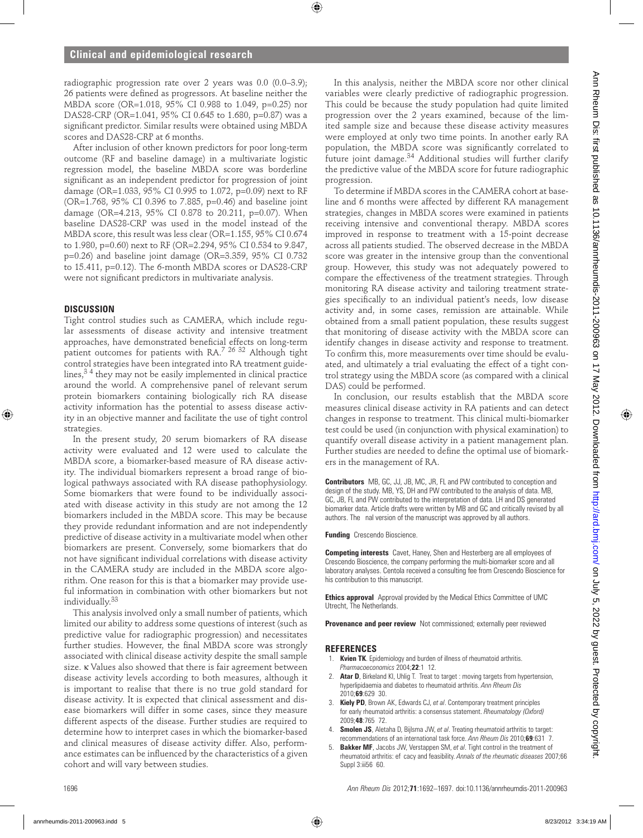radiographic progression rate over 2 years was 0.0 (0.0–3.9); 26 patients were defined as progressors. At baseline neither the MBDA score (OR=1.018, 95% CI 0.988 to 1.049, p=0.25) nor DAS28-CRP (OR=1.041, 95% CI 0.645 to 1.680, p=0.87) was a significant predictor. Similar results were obtained using MBDA scores and DAS28-CRP at 6 months.

After inclusion of other known predictors for poor long-term outcome (RF and baseline damage) in a multivariate logistic regression model, the baseline MBDA score was borderline significant as an independent predictor for progression of joint damage (OR=1.033, 95% CI 0.995 to 1.072, p=0.09) next to RF (OR=1.768, 95% CI 0.396 to 7.885, p=0.46) and baseline joint damage (OR=4.213, 95% CI 0.878 to 20.211, p=0.07). When baseline DAS28-CRP was used in the model instead of the MBDA score, this result was less clear (OR=1.155, 95% CI 0.674 to 1.980, p=0.60) next to RF (OR=2.294, 95% CI 0.534 to 9.847, p=0.26) and baseline joint damage (OR=3.359, 95% CI 0.732 to 15.411, p=0.12). The 6-month MBDA scores or DAS28-CRP were not significant predictors in multivariate analysis.

#### **DISCUSSION**

Tight control studies such as CAMERA, which include regular assessments of disease activity and intensive treatment approaches, have demonstrated beneficial effects on long-term patient outcomes for patients with RA.<sup>7</sup> <sup>26</sup><sup>32</sup> Although tight control strategies have been integrated into RA treatment guidelines, $3<sup>4</sup>$  they may not be easily implemented in clinical practice around the world. A comprehensive panel of relevant serum protein biomarkers containing biologically rich RA disease activity information has the potential to assess disease activity in an objective manner and facilitate the use of tight control strategies.

In the present study, 20 serum biomarkers of RA disease activity were evaluated and 12 were used to calculate the MBDA score, a biomarker-based measure of RA disease activity. The individual biomarkers represent a broad range of biological pathways associated with RA disease pathophysiology. Some biomarkers that were found to be individually associated with disease activity in this study are not among the 12 biomarkers included in the MBDA score. This may be because they provide redundant information and are not independently predictive of disease activity in a multivariate model when other biomarkers are present. Conversely, some biomarkers that do not have significant individual correlations with disease activity in the CAMERA study are included in the MBDA score algorithm. One reason for this is that a biomarker may provide useful information in combination with other biomarkers but not individually.33

This analysis involved only a small number of patients, which limited our ability to address some questions of interest (such as predictive value for radiographic progression) and necessitates further studies. However, the final MBDA score was strongly associated with clinical disease activity despite the small sample size. κ Values also showed that there is fair agreement between disease activity levels according to both measures, although it is important to realise that there is no true gold standard for disease activity. It is expected that clinical assessment and disease biomarkers will differ in some cases, since they measure different aspects of the disease. Further studies are required to determine how to interpret cases in which the biomarker-based and clinical measures of disease activity differ. Also, performance estimates can be influenced by the characteristics of a given cohort and will vary between studies.

In this analysis, neither the MBDA score nor other clinical variables were clearly predictive of radiographic progression. This could be because the study population had quite limited progression over the 2 years examined, because of the limited sample size and because these disease activity measures were employed at only two time points. In another early RA population, the MBDA score was significantly correlated to future joint damage.34 Additional studies will further clarify the predictive value of the MBDA score for future radiographic progression.

To determine if MBDA scores in the CAMERA cohort at baseline and 6 months were affected by different RA management strategies, changes in MBDA scores were examined in patients receiving intensive and conventional therapy. MBDA scores improved in response to treatment with a 15-point decrease across all patients studied. The observed decrease in the MBDA score was greater in the intensive group than the conventional group. However, this study was not adequately powered to compare the effectiveness of the treatment strategies. Through monitoring RA disease activity and tailoring treatment strategies specifically to an individual patient's needs, low disease activity and, in some cases, remission are attainable. While obtained from a small patient population, these results suggest that monitoring of disease activity with the MBDA score can identify changes in disease activity and response to treatment. To confirm this, more measurements over time should be evaluated, and ultimately a trial evaluating the effect of a tight control strategy using the MBDA score (as compared with a clinical DAS) could be performed.

In conclusion, our results establish that the MBDA score measures clinical disease activity in RA patients and can detect changes in response to treatment. This clinical multi-biomarker test could be used (in conjunction with physical examination) to quantify overall disease activity in a patient management plan. Further studies are needed to define the optimal use of biomarkers in the management of RA.

**Contributors** MB, GC, JJ, JB, MC, JR, FL and PW contributed to conception and design of the study. MB, YS, DH and PW contributed to the analysis of data. MB, GC, JB, FL and PW contributed to the interpretation of data. LH and DS generated biomarker data. Article drafts were written by MB and GC and critically revised by all authors. The nal version of the manuscript was approved by all authors.

**Funding** Crescendo Bioscience.

**Competing interests** Cavet, Haney, Shen and Hesterberg are all employees of Crescendo Bioscience, the company performing the multi-biomarker score and all laboratory analyses. Centola received a consulting fee from Crescendo Bioscience for his contribution to this manuscript.

**Ethics approval** Approval provided by the Medical Ethics Committee of UMC Utrecht, The Netherlands.

**Provenance and peer review** Not commissioned; externally peer reviewed

#### **REFERENCES**

- 1. **Kvien TK**. Epidemiology and burden of illness of rheumatoid arthritis. *Pharmacoeconomics* 2004; **22**:1 12.
- 2. **Atar D**, Birkeland KI, Uhlig T. Treat to target: moving targets from hypertension, hyperlipidaemia and diabetes to rheumatoid arthritis. *Ann Rheum Dis* 2010;69:629 30.
- 3. **Kiely PD**, Brown AK, Edwards CJ, *et al*. Contemporary treatment principles for early rheumatoid arthritis: a consensus statement. *Rheumatology (Oxford)* 2009;**48**:765Ð72.
- 4. **Smolen JS**, Aletaha D, Bijlsma JW, *et al*. Treating rheumatoid arthritis to target: recommendations of an international task force. Ann Rheum Dis 2010;69:631 7.
- 5. **Bakker MF**, Jacobs JW, Verstappen SM, *et al*. Tight control in the treatment of rheumatoid arthritis: ef cacy and feasibility. Annals of the rheumatic diseases 2007;66 Suppl 3:iii56 60.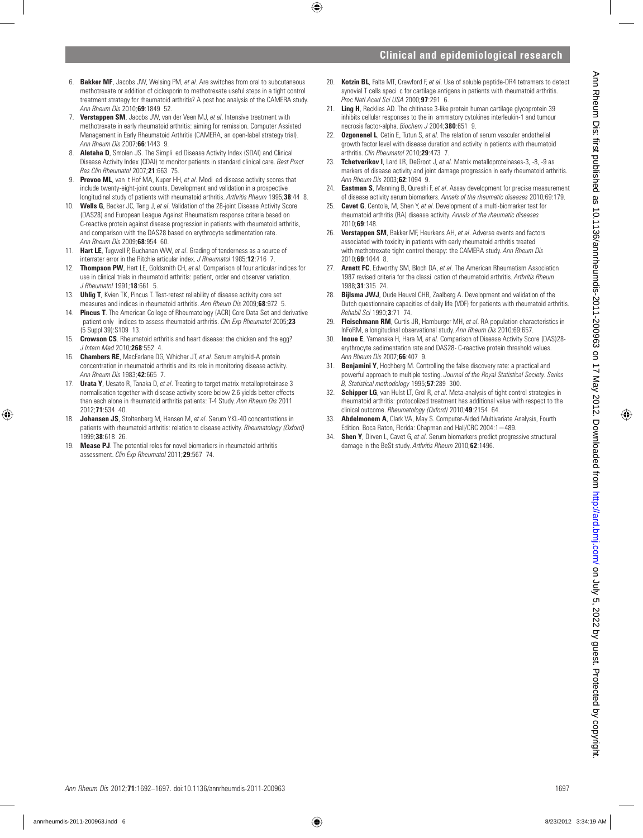- 6. **Bakker MF**, Jacobs JW, Welsing PM, *et al*. Are switches from oral to subcutaneous methotrexate or addition of ciclosporin to methotrexate useful steps in a tight control treatment strategy for rheumatoid arthritis? A post hoc analysis of the CAMERA study. **Ann Rheum Dis 2010;69:1849 52.**
- 7. **Verstappen SM**, Jacobs JW, van der Veen MJ, *et al*. Intensive treatment with methotrexate in early rheumatoid arthritis: aiming for remission. Computer Assisted Management in Early Rheumatoid Arthritis (CAMERA, an open-label strategy trial). *Ann Rheum Dis* 2007:66:1443 9.
- 8. **Aletaha D**, Smolen JS. The Simpli ed Disease Activity Index (SDAI) and Clinical Disease Activity Index (CDAI) to monitor patients in standard clinical care. *Best Pract Res Clin Rheumatol* 2007;**21**:663Ð75.
- 9. **Prevoo ML**, van t Hof MA, Kuper HH, et al. Modi ed disease activity scores that include twenty-eight-joint counts. Development and validation in a prospective longitudinal study of patients with rheumatoid arthritis. Arthritis Rheum 1995;38:44 8.
- 10. **Wells G**, Becker JC, Teng J, *et al*. Validation of the 28-joint Disease Activity Score (DAS28) and European League Against Rheumatism response criteria based on C-reactive protein against disease progression in patients with rheumatoid arthritis, and comparison with the DAS28 based on erythrocyte sedimentation rate. *Ann Rheum Dis* 2009;68:954 60.
- 11. **Hart LE**, Tugwell P, Buchanan WW, *et al*. Grading of tenderness as a source of interrater error in the Ritchie articular index. *J Rheumatol* 1985;12:716 7.
- 12. **Thompson PW**, Hart LE, Goldsmith CH, *et al*. Comparison of four articular indices for use in clinical trials in rheumatoid arthritis: patient, order and observer variation. *J Rheumatol* 1991;18:661 5.
- 13. **Uhlig T**, Kvien TK, Pincus T. Test-retest reliability of disease activity core set measures and indices in rheumatoid arthritis. Ann Rheum Dis 2009:68:972 5.
- **Pincus T**. The American College of Rheumatology (ACR) Core Data Set and derivative patient only indices to assess rheumatoid arthritis. *Clin Exp Rheumatol* 2005;23 (5 Suppl 39): S109 13.
- 15. **Crowson CS**. Rheumatoid arthritis and heart disease: the chicken and the egg? *J Intern Med* 2010;268:552 4.
- 16. **Chambers RE**, MacFarlane DG, Whicher JT, *et al*. Serum amyloid-A protein concentration in rheumatoid arthritis and its role in monitoring disease activity. Ann Rheum Dis 1983;42:665 7.
- 17. **Urata Y**, Uesato R, Tanaka D, *et al*. Treating to target matrix metalloproteinase 3 normalisation together with disease activity score below 2.6 yields better effects than each alone in rheumatoid arthritis patients: T-4 Study. *Ann Rheum Dis* 2011 2012**71**:534 40
- 18. **Johansen JS**, Stoltenberg M, Hansen M, *et al*. Serum YKL-40 concentrations in patients with rheumatoid arthritis: relation to disease activity. *Rheumatology (Oxford)* 1999;**38**:618Ð26.
- 19. **Mease PJ**. The potential roles for novel biomarkers in rheumatoid arthritis assessment. *Clin Exp Rheumatol* 2011;**29**:567–74.
- 20. **Kotzin BL**, Falta MT, Crawford F, *et al.* Use of soluble peptide-DR4 tetramers to detect synovial T cells speci c for cartilage antigens in patients with rheumatoid arthritis. *Proc Natl Acad Sci USA* 2000:**97**:291 6.
- 21. **Ling H**, Recklies AD. The chitinase 3-like protein human cartilage glycoprotein 39 inhibits cellular responses to the in ammatory cytokines interleukin-1 and tumour necrosis factor-alpha. *Biochem J* 2004;**380**:651.9.
- 22. **Ozgonenel L**, Cetin E, Tutun S, *et al*. The relation of serum vascular endothelial growth factor level with disease duration and activity in patients with rheumatoid arthritis. *Clin Rheumatol* 2010;**29**:473Ð7.
- 23. **Tchetverikov I**, Lard LR, DeGroot J, *et al*. Matrix metalloproteinases-3, -8, -9 as markers of disease activity and joint damage progression in early rheumatoid arthritis. *Ann Rheum Dis* 2003:62:1094 9.
- 24. **Eastman S**, Manning B, Qureshi F, *et al*. Assay development for precise measurement of disease activity serum biomarkers. *Annals of the rheumatic diseases* 2010;69:179.
- 25. **Cavet G**, Centola, M, Shen Y, *et al*. Development of a multi-biomarker test for rheumatoid arthritis (RA) disease activity. *Annals of the rheumatic diseases* 2010;**69**:148.
- 26. **Verstappen SM**, Bakker MF, Heurkens AH, *et al*. Adverse events and factors associated with toxicity in patients with early rheumatoid arthritis treated with methotrexate tight control therapy: the CAMERA study. *Ann Rheum Dis* 2010;**69**:1044 8
- 27. **Arnett FC**, Edworthy SM, Bloch DA, *et al*. The American Rheumatism Association 1987 revised criteria for the classi cation of rheumatoid arthritis. *Arthritis Rheum* 1988:31:315 24
- 28. **Bijlsma JWJ**, Oude Heuvel CHB, Zaalberg A. Development and validation of the Dutch questionnaire capacities of daily life (VDF) for patients with rheumatoid arthritis. *Rehabil Sci* 1990;**3**:71Ð74.
- 29. **Fleischmann RM**, Curtis JR, Hamburger MH, *et al*. RA population characteristics in InFoRM, a longitudinal observational study. *Ann Rheum Dis* 2010;69:657.
- 30. **Inoue E**, Yamanaka H, Hara M, *et al*. Comparison of Disease Activity Score (DAS)28 erythrocyte sedimentation rate and DAS28- C-reactive protein threshold values. *Ann Rheum Dis* 2007;**66**:407Ð9.
- 31. **Benjamini Y**, Hochberg M. Controlling the false discovery rate: a practical and powerful approach to multiple testing. *Journal of the Royal Statistical Society. Series B, Statistical methodology* 1995;57:289 300.
- 32. **Schipper LG**, van Hulst LT, Grol R, *et al*. Meta-analysis of tight control strategies in rheumatoid arthritis: protocolized treatment has additional value with respect to the clinical outcome. Rheumatology (Oxford) 2010;49:2154 64.
- 33. **Abdelmonem A**, Clark VA, May S. Computer-Aided Multivariate Analysis, Fourth Edition. Boca Raton, Florida: Chapman and Hall/CRC 2004:1−489.
- 34. **Shen Y**, Dirven L, Cavet G, *et al*. Serum biomarkers predict progressive structural damage in the BeSt study. *Arthritis Rheum* 2010;**62**:1496.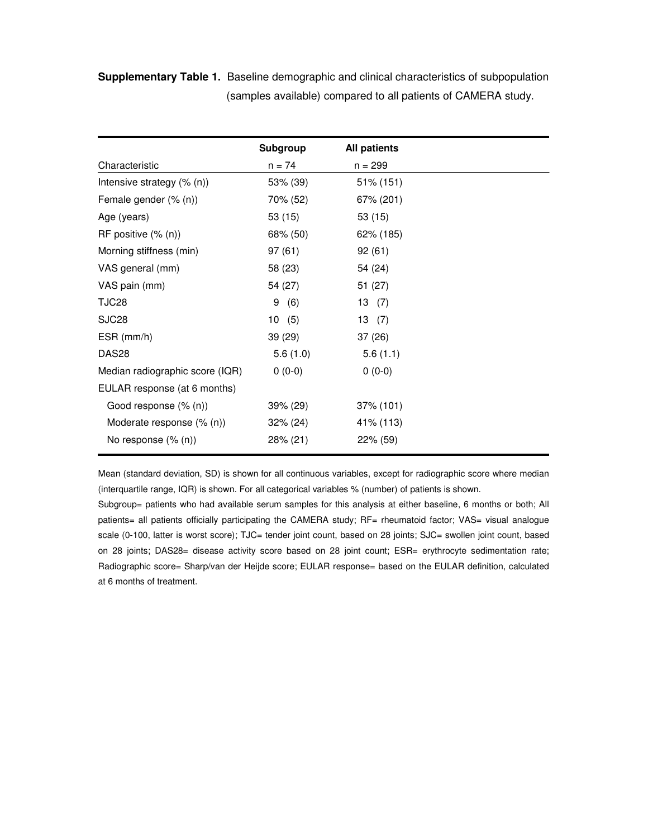**Supplementary Table 1.** Baseline demographic and clinical characteristics of subpopulation (samples available) compared to all patients of CAMERA study.

|                                 | <b>Subgroup</b> | <b>All patients</b> |
|---------------------------------|-----------------|---------------------|
| Characteristic                  | $n = 74$        | $n = 299$           |
| Intensive strategy $(\%$ (n))   | 53% (39)        | 51% (151)           |
| Female gender (% (n))           | 70% (52)        | 67% (201)           |
| Age (years)                     | 53 (15)         | 53 (15)             |
| RF positive $(\%$ (n))          | 68% (50)        | 62% (185)           |
| Morning stiffness (min)         | 97 (61)         | 92(61)              |
| VAS general (mm)                | 58 (23)         | 54 (24)             |
| VAS pain (mm)                   | 54 (27)         | 51 (27)             |
| TJC28                           | 9<br>(6)        | 13(7)               |
| SJC <sub>28</sub>               | 10(5)           | 13(7)               |
| $ESR$ (mm/h)                    | 39 (29)         | 37(26)              |
| DAS <sub>28</sub>               | 5.6(1.0)        | 5.6(1.1)            |
| Median radiographic score (IQR) | $0(0-0)$        | $0(0-0)$            |
| EULAR response (at 6 months)    |                 |                     |
| Good response (% (n))           | 39% (29)        | $37\%$ (101)        |
| Moderate response (% (n))       | $32\% (24)$     | 41% (113)           |
| No response $(\% (n))$          | 28% (21)        | 22% (59)            |

Mean (standard deviation, SD) is shown for all continuous variables, except for radiographic score where median (interquartile range, IQR) is shown. For all categorical variables % (number) of patients is shown.

Subgroup= patients who had available serum samples for this analysis at either baseline, 6 months or both; All patients= all patients officially participating the CAMERA study; RF= rheumatoid factor; VAS= visual analogue scale (0-100, latter is worst score); TJC= tender joint count, based on 28 joints; SJC= swollen joint count, based on 28 joints; DAS28= disease activity score based on 28 joint count; ESR= erythrocyte sedimentation rate; Radiographic score= Sharp/van der Heijde score; EULAR response= based on the EULAR definition, calculated at 6 months of treatment.